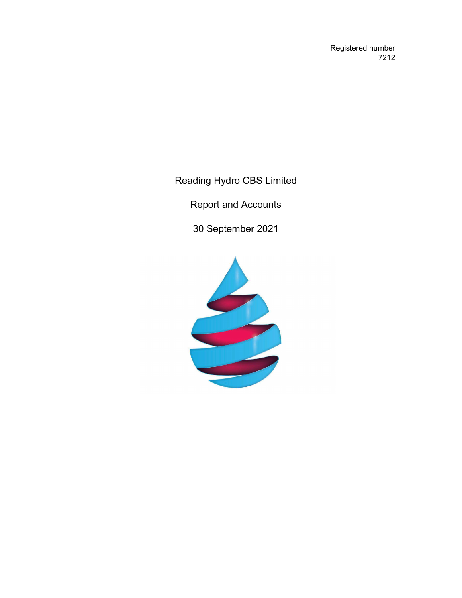Registered number 7212

Reading Hydro CBS Limited

Report and Accounts

30 September 2021

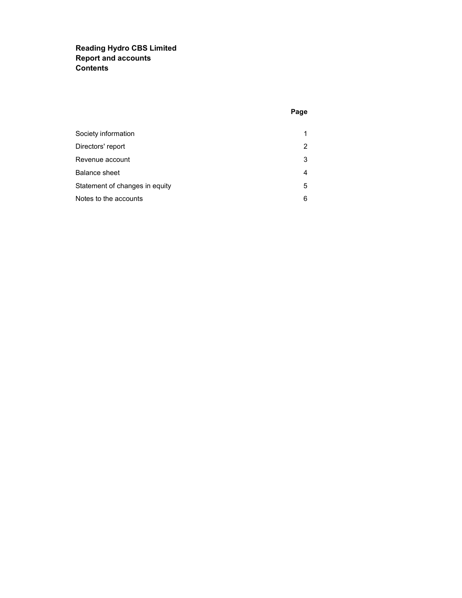# Reading Hydro CBS Limited Report and accounts **Contents**

## Page

| Society information            |   |
|--------------------------------|---|
| Directors' report              | 2 |
| Revenue account                | 3 |
| <b>Balance sheet</b>           | 4 |
| Statement of changes in equity | 5 |
| Notes to the accounts          | 6 |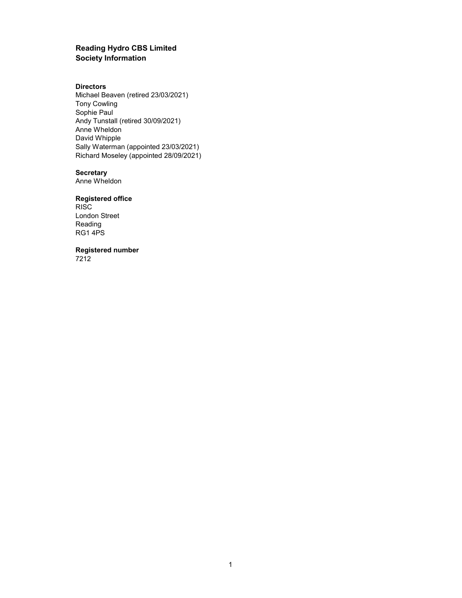### Reading Hydro CBS Limited Society Information

#### **Directors**

Michael Beaven (retired 23/03/2021) Tony Cowling Sophie Paul Andy Tunstall (retired 30/09/2021) Anne Wheldon David Whipple Sally Waterman (appointed 23/03/2021) Richard Moseley (appointed 28/09/2021)

#### **Secretary**

Anne Wheldon

# Registered office

RISC London Street Reading RG1 4PS

Registered number

7212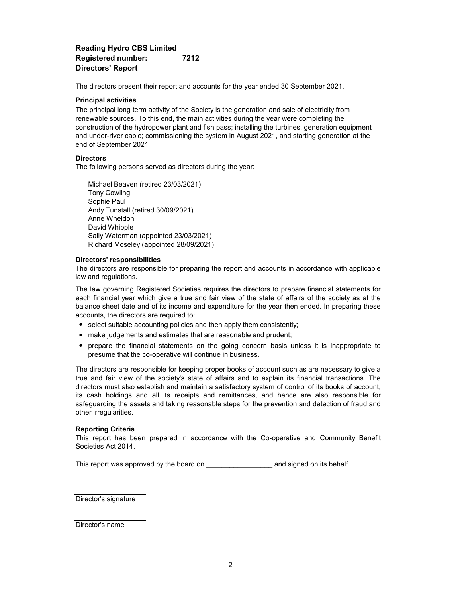# Reading Hydro CBS Limited Registered number: 7212 Directors' Report

The directors present their report and accounts for the year ended 30 September 2021.

### Principal activities

The principal long term activity of the Society is the generation and sale of electricity from renewable sources. To this end, the main activities during the year were completing the construction of the hydropower plant and fish pass; installing the turbines, generation equipment and under-river cable; commissioning the system in August 2021, and starting generation at the end of September 2021

### **Directors**

The following persons served as directors during the year:

Sally Waterman (appointed 23/03/2021) Richard Moseley (appointed 28/09/2021) Michael Beaven (retired 23/03/2021) David Whipple Tony Cowling Sophie Paul Andy Tunstall (retired 30/09/2021) Anne Wheldon

### Directors' responsibilities

The directors are responsible for preparing the report and accounts in accordance with applicable law and regulations.

The law governing Registered Societies requires the directors to prepare financial statements for each financial year which give a true and fair view of the state of affairs of the society as at the balance sheet date and of its income and expenditure for the year then ended. In preparing these accounts, the directors are required to:

- select suitable accounting policies and then apply them consistently;
- make judgements and estimates that are reasonable and prudent;
- prepare the financial statements on the going concern basis unless it is inappropriate to presume that the co-operative will continue in business.

The directors are responsible for keeping proper books of account such as are necessary to give a true and fair view of the society's state of affairs and to explain its financial transactions. The directors must also establish and maintain a satisfactory system of control of its books of account, its cash holdings and all its receipts and remittances, and hence are also responsible for safeguarding the assets and taking reasonable steps for the prevention and detection of fraud and other irregularities.

### Reporting Criteria

This report has been prepared in accordance with the Co-operative and Community Benefit Societies Act 2014.

This report was approved by the board on \_\_\_\_\_\_\_\_\_\_\_\_\_\_\_\_\_\_\_\_\_\_ and signed on its behalf.

Director's signature

Director's name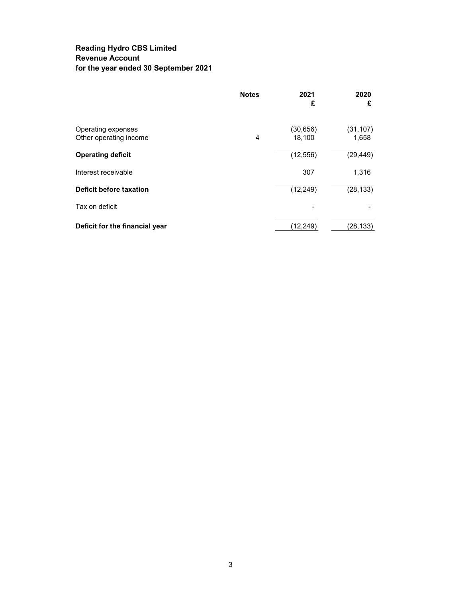# Reading Hydro CBS Limited Revenue Account for the year ended 30 September 2021

|                                              | <b>Notes</b> | 2021<br>£           | 2020<br>£          |
|----------------------------------------------|--------------|---------------------|--------------------|
| Operating expenses<br>Other operating income | 4            | (30, 656)<br>18,100 | (31, 107)<br>1,658 |
| <b>Operating deficit</b>                     |              | (12, 556)           | (29, 449)          |
| Interest receivable                          |              | 307                 | 1,316              |
| <b>Deficit before taxation</b>               |              | (12, 249)           | (28, 133)          |
| Tax on deficit                               |              |                     |                    |
| Deficit for the financial year               |              | (12, 249)           | (28, 133)          |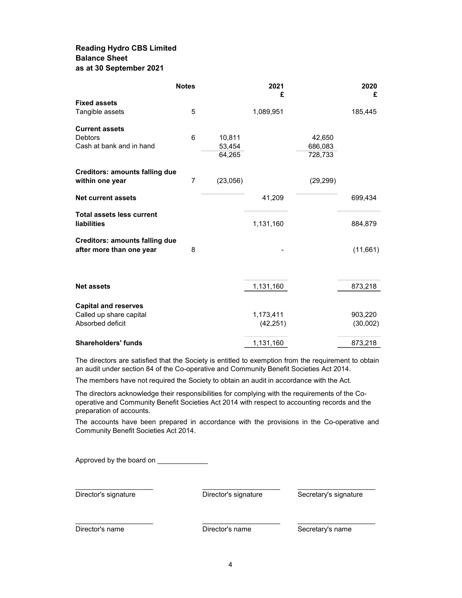# Reading Hydro CBS Limited Balance Sheet as at 30 September 2021

|                                       | <b>Notes</b>   |          | 2021<br>£ |           | 2020<br>£ |
|---------------------------------------|----------------|----------|-----------|-----------|-----------|
| <b>Fixed assets</b>                   |                |          |           |           |           |
| Tangible assets                       | 5              |          | 1,089,951 |           | 185,445   |
| <b>Current assets</b>                 |                |          |           |           |           |
| <b>Debtors</b>                        | 6              | 10,811   |           | 42,650    |           |
| Cash at bank and in hand              |                | 53,454   |           | 686,083   |           |
|                                       |                | 64,265   |           | 728,733   |           |
| <b>Creditors: amounts falling due</b> |                |          |           |           |           |
| within one year                       | $\overline{7}$ | (23,056) |           | (29, 299) |           |
| <b>Net current assets</b>             |                |          | 41,209    |           | 699,434   |
| <b>Total assets less current</b>      |                |          |           |           |           |
| <b>liabilities</b>                    |                |          | 1,131,160 |           | 884,879   |
| <b>Creditors: amounts falling due</b> |                |          |           |           |           |
| after more than one year              | 8              |          |           |           | (11,661)  |
|                                       |                |          |           |           |           |
| <b>Net assets</b>                     |                |          | 1,131,160 |           | 873,218   |
|                                       |                |          |           |           |           |
| <b>Capital and reserves</b>           |                |          |           |           |           |
| Called up share capital               |                |          | 1,173,411 |           | 903,220   |
| Absorbed deficit                      |                |          | (42, 251) |           | (30,002)  |
| <b>Shareholders' funds</b>            |                |          | 1,131,160 |           | 873,218   |

The directors are satisfied that the Society is entitled to exemption from the requirement to obtain an audit under section 84 of the Co-operative and Community Benefit Societies Act 2014.

The members have not required the Society to obtain an audit in accordance with the Act.

The directors acknowledge their responsibilities for complying with the requirements of the Cooperative and Community Benefit Societies Act 2014 with respect to accounting records and the preparation of accounts.

The accounts have been prepared in accordance with the provisions in the Co-operative and Community Benefit Societies Act 2014.

Approved by the board on

Director's signature Director's signature Secretary's signature

 $\_$  , and the set of the set of the set of the set of the set of the set of the set of the set of the set of the set of the set of the set of the set of the set of the set of the set of the set of the set of the set of th

 $\_$  , and the state of the state of the state of the state of the state of the state of the state of the state of the state of the state of the state of the state of the state of the state of the state of the state of the

Director's name **Director's name** Secretary's name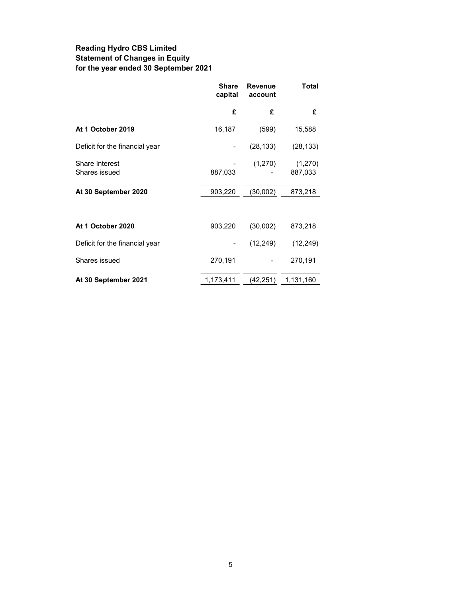# Reading Hydro CBS Limited Statement of Changes in Equity for the year ended 30 September 2021

|                                 | Share<br>capital | <b>Revenue</b><br>account | Total              |
|---------------------------------|------------------|---------------------------|--------------------|
|                                 | £                | £                         | £                  |
| At 1 October 2019               | 16,187           | (599)                     | 15,588             |
| Deficit for the financial year  |                  | (28, 133)                 | (28, 133)          |
| Share Interest<br>Shares issued | 887,033          | (1,270)                   | (1,270)<br>887,033 |
| At 30 September 2020            | 903,220          | (30,002)                  | 873,218            |
|                                 |                  |                           |                    |
| At 1 October 2020               | 903,220          | (30,002)                  | 873,218            |
| Deficit for the financial year  |                  | (12, 249)                 | (12, 249)          |
| Shares issued                   | 270,191          |                           | 270,191            |
| At 30 September 2021            | 1,173,411        | (42, 251)                 | 1,131,160          |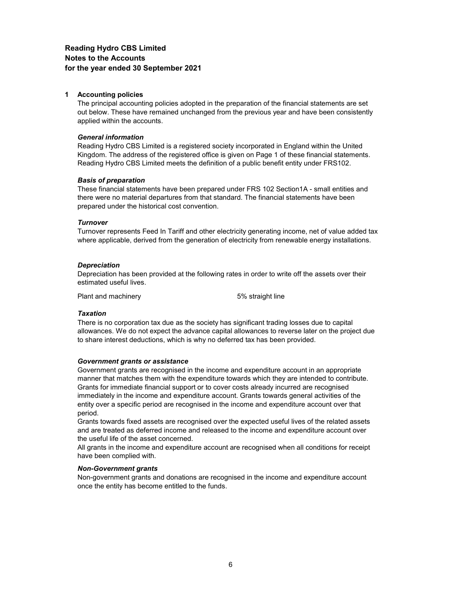## Reading Hydro CBS Limited Notes to the Accounts for the year ended 30 September 2021

#### 1 Accounting policies

The principal accounting policies adopted in the preparation of the financial statements are set out below. These have remained unchanged from the previous year and have been consistently applied within the accounts.

#### General information

Reading Hydro CBS Limited is a registered society incorporated in England within the United Kingdom. The address of the registered office is given on Page 1 of these financial statements. Reading Hydro CBS Limited meets the definition of a public benefit entity under FRS102.

#### Basis of preparation

These financial statements have been prepared under FRS 102 Section1A - small entities and there were no material departures from that standard. The financial statements have been prepared under the historical cost convention.

#### **Turnover**

Turnover represents Feed In Tariff and other electricity generating income, net of value added tax where applicable, derived from the generation of electricity from renewable energy installations.

#### **Depreciation**

Depreciation has been provided at the following rates in order to write off the assets over their estimated useful lives.

Plant and machinery example 5% straight line

### **Taxation**

There is no corporation tax due as the society has significant trading losses due to capital allowances. We do not expect the advance capital allowances to reverse later on the project due to share interest deductions, which is why no deferred tax has been provided.

#### Government grants or assistance

Government grants are recognised in the income and expenditure account in an appropriate manner that matches them with the expenditure towards which they are intended to contribute. Grants for immediate financial support or to cover costs already incurred are recognised immediately in the income and expenditure account. Grants towards general activities of the entity over a specific period are recognised in the income and expenditure account over that period.

Grants towards fixed assets are recognised over the expected useful lives of the related assets and are treated as deferred income and released to the income and expenditure account over the useful life of the asset concerned.

All grants in the income and expenditure account are recognised when all conditions for receipt have been complied with.

#### Non-Government grants

Non-government grants and donations are recognised in the income and expenditure account once the entity has become entitled to the funds.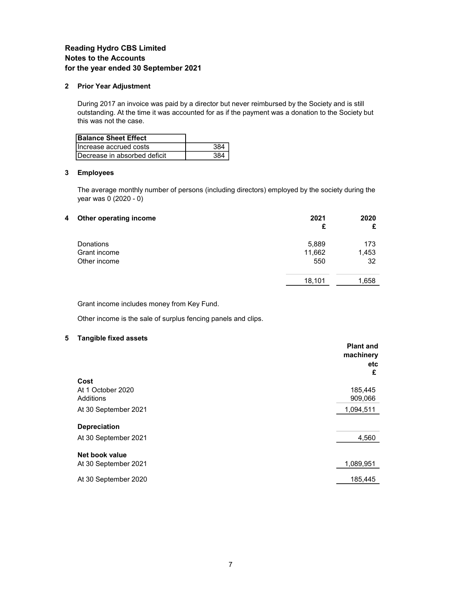# Reading Hydro CBS Limited Notes to the Accounts for the year ended 30 September 2021

#### 2 Prior Year Adjustment

During 2017 an invoice was paid by a director but never reimbursed by the Society and is still outstanding. At the time it was accounted for as if the payment was a donation to the Society but this was not the case.

| <b>Balance Sheet Effect</b>  |  |
|------------------------------|--|
| Increase accrued costs       |  |
| Decrease in absorbed deficit |  |

### 3 Employees

The average monthly number of persons (including directors) employed by the society during the year was 0 (2020 - 0)

| Other operating income<br>4 | 2021<br>£ | 2020<br>£ |
|-----------------------------|-----------|-----------|
| Donations                   | 5,889     | 173       |
| Grant income                | 11,662    | 1,453     |
| Other income                | 550       | 32        |
|                             | 18,101    | 1,658     |

Grant income includes money from Key Fund.

Other income is the sale of surplus fencing panels and clips.

### 5 Tangible fixed assets

|                      | <b>Plant and</b><br>machinery<br>etc<br>£ |
|----------------------|-------------------------------------------|
| Cost                 |                                           |
| At 1 October 2020    | 185,445                                   |
| Additions            | 909,066                                   |
| At 30 September 2021 | 1,094,511                                 |
| <b>Depreciation</b>  |                                           |
| At 30 September 2021 | 4,560                                     |
| Net book value       |                                           |
| At 30 September 2021 | 1,089,951                                 |
| At 30 September 2020 | 185,445                                   |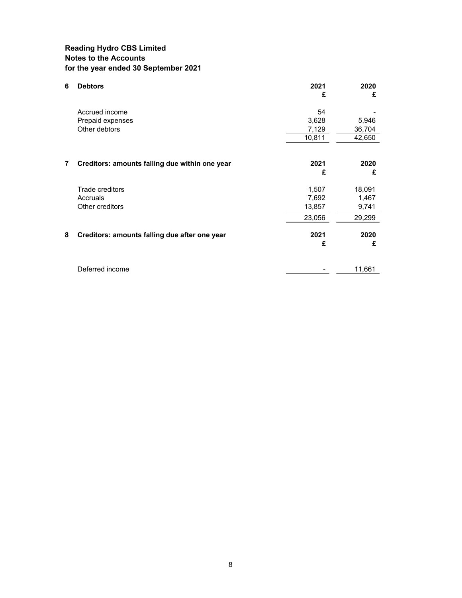# Reading Hydro CBS Limited Notes to the Accounts for the year ended 30 September 2021

| 6 | <b>Debtors</b>                                 | 2021<br>£ | 2020<br>£ |
|---|------------------------------------------------|-----------|-----------|
|   | Accrued income                                 | 54        |           |
|   | Prepaid expenses                               | 3,628     | 5,946     |
|   | Other debtors                                  | 7,129     | 36,704    |
|   |                                                | 10,811    | 42,650    |
|   |                                                |           |           |
| 7 | Creditors: amounts falling due within one year | 2021      | 2020      |
|   |                                                | £         | £         |
|   | Trade creditors                                | 1,507     | 18,091    |
|   | Accruals                                       | 7,692     | 1,467     |
|   | Other creditors                                | 13,857    | 9,741     |
|   |                                                | 23,056    | 29,299    |
| 8 | Creditors: amounts falling due after one year  | 2021      | 2020      |
|   |                                                | £         | £         |
|   |                                                |           |           |
|   | Deferred income                                |           | 11,661    |